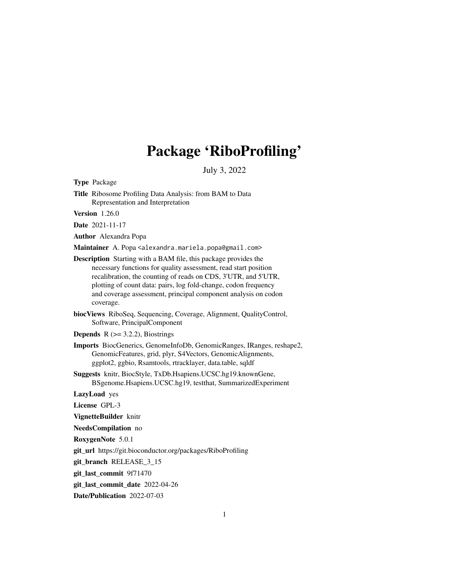# Package 'RiboProfiling'

July 3, 2022

Type Package

Title Ribosome Profiling Data Analysis: from BAM to Data Representation and Interpretation

Version 1.26.0

Date 2021-11-17

Author Alexandra Popa

Maintainer A. Popa <alexandra.mariela.popa@gmail.com>

Description Starting with a BAM file, this package provides the necessary functions for quality assessment, read start position recalibration, the counting of reads on CDS, 3'UTR, and 5'UTR, plotting of count data: pairs, log fold-change, codon frequency and coverage assessment, principal component analysis on codon coverage.

biocViews RiboSeq, Sequencing, Coverage, Alignment, QualityControl, Software, PrincipalComponent

**Depends**  $R$  ( $>=$  3.2.2), Biostrings

Imports BiocGenerics, GenomeInfoDb, GenomicRanges, IRanges, reshape2, GenomicFeatures, grid, plyr, S4Vectors, GenomicAlignments, ggplot2, ggbio, Rsamtools, rtracklayer, data.table, sqldf

Suggests knitr, BiocStyle, TxDb.Hsapiens.UCSC.hg19.knownGene, BSgenome.Hsapiens.UCSC.hg19, testthat, SummarizedExperiment

LazyLoad yes

License GPL-3

VignetteBuilder knitr

NeedsCompilation no

RoxygenNote 5.0.1

git\_url https://git.bioconductor.org/packages/RiboProfiling

git\_branch RELEASE\_3\_15

git\_last\_commit 9f71470

git\_last\_commit\_date 2022-04-26

Date/Publication 2022-07-03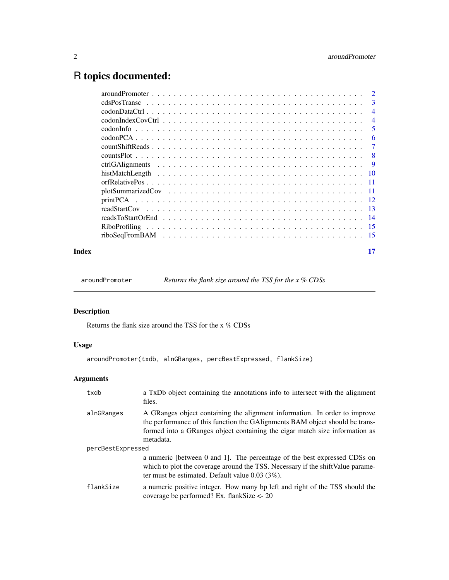## <span id="page-1-0"></span>R topics documented:

|       | -3             |
|-------|----------------|
|       | $\overline{4}$ |
|       | $\overline{4}$ |
|       | -5             |
|       | -6             |
|       |                |
|       |                |
|       |                |
|       |                |
|       |                |
|       |                |
|       |                |
|       |                |
|       |                |
|       |                |
|       |                |
| Index | 17             |

aroundPromoter *Returns the flank size around the TSS for the x % CDSs*

#### Description

Returns the flank size around the TSS for the x % CDSs

#### Usage

aroundPromoter(txdb, alnGRanges, percBestExpressed, flankSize)

### Arguments

| txdb              | a TxDb object containing the annotations info to intersect with the alignment<br>files.                                                                                                                                                                |  |
|-------------------|--------------------------------------------------------------------------------------------------------------------------------------------------------------------------------------------------------------------------------------------------------|--|
| alnGRanges        | A GRanges object containing the alignment information. In order to improve<br>the performance of this function the GAIignments BAM object should be trans-<br>formed into a GRanges object containing the cigar match size information as<br>metadata. |  |
| percBestExpressed |                                                                                                                                                                                                                                                        |  |
|                   | a numeric [between 0 and 1]. The percentage of the best expressed CDSs on<br>which to plot the coverage around the TSS. Necessary if the shift Value parame-<br>ter must be estimated. Default value $0.03$ (3%).                                      |  |
| flankSize         | a numeric positive integer. How many bp left and right of the TSS should the<br>coverage be performed? Ex. flank Size $\lt$ - 20                                                                                                                       |  |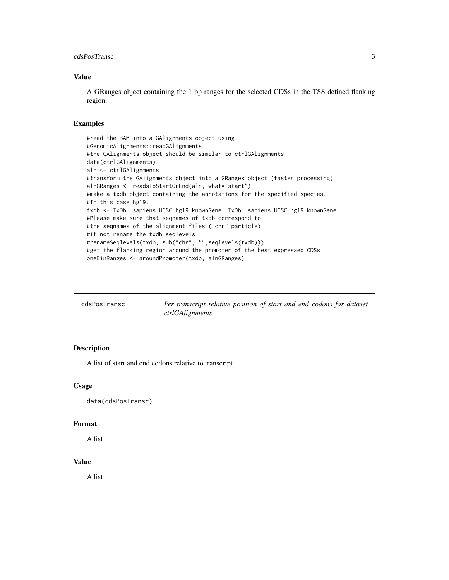#### <span id="page-2-0"></span>cdsPosTransc 3

#### Value

A GRanges object containing the 1 bp ranges for the selected CDSs in the TSS defined flanking region.

#### Examples

```
#read the BAM into a GAlignments object using
#GenomicAlignments::readGAlignments
#the GAlignments object should be similar to ctrlGAlignments
data(ctrlGAlignments)
aln <- ctrlGAlignments
#transform the GAlignments object into a GRanges object (faster processing)
alnGRanges <- readsToStartOrEnd(aln, what="start")
#make a txdb object containing the annotations for the specified species.
#In this case hg19.
txdb <- TxDb.Hsapiens.UCSC.hg19.knownGene::TxDb.Hsapiens.UCSC.hg19.knownGene
#Please make sure that seqnames of txdb correspond to
#the seqnames of the alignment files ("chr" particle)
#if not rename the txdb seqlevels
#renameSeqlevels(txdb, sub("chr", "",seqlevels(txdb)))
#get the flanking region around the promoter of the best expressed CDSs
oneBinRanges <- aroundPromoter(txdb, alnGRanges)
```

| cdsPosTransc | Per transcript relative position of start and end codons for dataset |
|--------------|----------------------------------------------------------------------|
|              | ctrlGAlignments                                                      |

#### Description

A list of start and end codons relative to transcript

#### Usage

```
data(cdsPosTransc)
```
#### Format

A list

#### Value

A list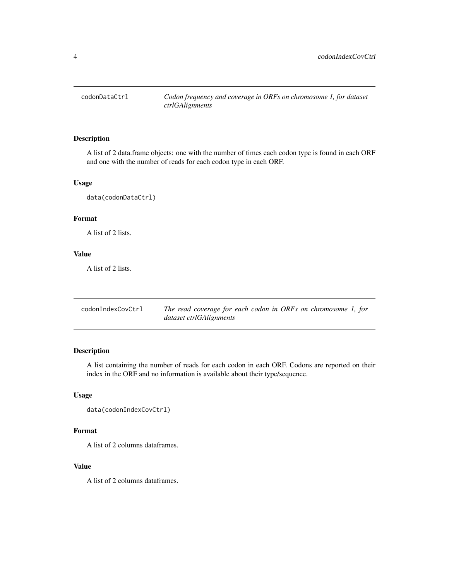<span id="page-3-0"></span>

A list of 2 data.frame objects: one with the number of times each codon type is found in each ORF and one with the number of reads for each codon type in each ORF.

#### Usage

data(codonDataCtrl)

#### Format

A list of 2 lists.

#### Value

A list of 2 lists.

codonIndexCovCtrl *The read coverage for each codon in ORFs on chromosome 1, for dataset ctrlGAlignments*

#### Description

A list containing the number of reads for each codon in each ORF. Codons are reported on their index in the ORF and no information is available about their type/sequence.

#### Usage

```
data(codonIndexCovCtrl)
```
#### Format

A list of 2 columns dataframes.

#### Value

A list of 2 columns dataframes.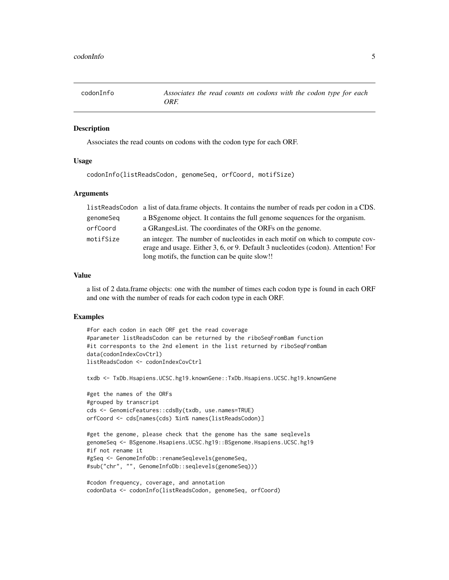<span id="page-4-0"></span>codonInfo *Associates the read counts on codons with the codon type for each ORF.*

#### Description

Associates the read counts on codons with the codon type for each ORF.

#### Usage

codonInfo(listReadsCodon, genomeSeq, orfCoord, motifSize)

#### Arguments

|           | listReadsCodon a list of data.frame objects. It contains the number of reads per codon in a CDS. |
|-----------|--------------------------------------------------------------------------------------------------|
| genomeSeg | a BS genome object. It contains the full genome sequences for the organism.                      |
| orfCoord  | a GRangesList. The coordinates of the ORFs on the genome.                                        |
| motifSize | an integer. The number of nucleotides in each motif on which to compute cov-                     |
|           | erage and usage. Either 3, 6, or 9. Default 3 nucleotides (codon). Attention! For                |
|           | long motifs, the function can be quite slow!!                                                    |

#### Value

a list of 2 data.frame objects: one with the number of times each codon type is found in each ORF and one with the number of reads for each codon type in each ORF.

```
#for each codon in each ORF get the read coverage
#parameter listReadsCodon can be returned by the riboSeqFromBam function
#it corresponts to the 2nd element in the list returned by riboSeqFromBam
data(codonIndexCovCtrl)
listReadsCodon <- codonIndexCovCtrl
txdb <- TxDb.Hsapiens.UCSC.hg19.knownGene::TxDb.Hsapiens.UCSC.hg19.knownGene
#get the names of the ORFs
#grouped by transcript
cds <- GenomicFeatures::cdsBy(txdb, use.names=TRUE)
orfCoord <- cds[names(cds) %in% names(listReadsCodon)]
#get the genome, please check that the genome has the same seqlevels
genomeSeq <- BSgenome.Hsapiens.UCSC.hg19::BSgenome.Hsapiens.UCSC.hg19
#if not rename it
#gSeq <- GenomeInfoDb::renameSeqlevels(genomeSeq,
#sub("chr", "", GenomeInfoDb::seqlevels(genomeSeq)))
#codon frequency, coverage, and annotation
```

```
codonData <- codonInfo(listReadsCodon, genomeSeq, orfCoord)
```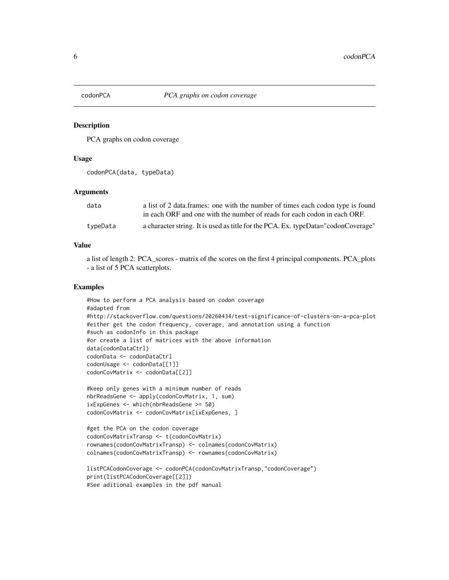<span id="page-5-0"></span>

PCA graphs on codon coverage

#### Usage

codonPCA(data, typeData)

#### Arguments

| data     | a list of 2 data frames: one with the number of times each codon type is found    |
|----------|-----------------------------------------------------------------------------------|
|          | in each ORF and one with the number of reads for each codon in each ORF.          |
| typeData | a character string. It is used as title for the PCA. Ex. typeData="codonCoverage" |

#### Value

a list of length 2: PCA\_scores - matrix of the scores on the first 4 principal components. PCA\_plots - a list of 5 PCA scatterplots.

```
#How to perform a PCA analysis based on codon coverage
#adapted from
#http://stackoverflow.com/questions/20260434/test-significance-of-clusters-on-a-pca-plot
#either get the codon frequency, coverage, and annotation using a function
#such as codonInfo in this package
#or create a list of matrices with the above information
data(codonDataCtrl)
codonData <- codonDataCtrl
codonUsage <- codonData[[1]]
codonCovMatrix <- codonData[[2]]
```

```
#keep only genes with a minimum number of reads
nbrReadsGene <- apply(codonCovMatrix, 1, sum)
ixExpGenes <- which(nbrReadsGene >= 50)
codonCovMatrix <- codonCovMatrix[ixExpGenes, ]
```

```
#get the PCA on the codon coverage
codonCovMatrixTransp <- t(codonCovMatrix)
rownames(codonCovMatrixTransp) <- colnames(codonCovMatrix)
colnames(codonCovMatrixTransp) <- rownames(codonCovMatrix)
```

```
listPCACodonCoverage <- codonPCA(codonCovMatrixTransp,"codonCoverage")
print(listPCACodonCoverage[[2]])
#See aditional examples in the pdf manual
```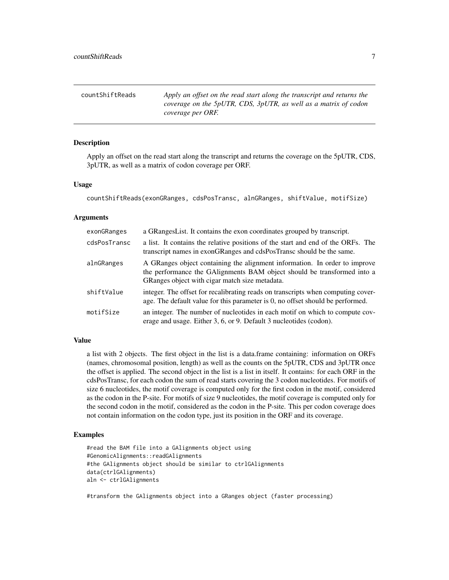<span id="page-6-0"></span>

| countShiftReads | Apply an offset on the read start along the transcript and returns the               |
|-----------------|--------------------------------------------------------------------------------------|
|                 | coverage on the 5pUTR, CDS, 3pUTR, as well as a matrix of codon<br>coverage per ORF. |

Apply an offset on the read start along the transcript and returns the coverage on the 5pUTR, CDS, 3pUTR, as well as a matrix of codon coverage per ORF.

#### Usage

countShiftReads(exonGRanges, cdsPosTransc, alnGRanges, shiftValue, motifSize)

#### Arguments

| exonGRanges  | a GRangesList. It contains the exon coordinates grouped by transcript.                                                                                                                                  |
|--------------|---------------------------------------------------------------------------------------------------------------------------------------------------------------------------------------------------------|
| cdsPosTransc | a list. It contains the relative positions of the start and end of the ORFs. The<br>transcript names in exonGRanges and cdsPosTransc should be the same.                                                |
| alnGRanges   | A GRanges object containing the alignment information. In order to improve<br>the performance the GAlignments BAM object should be transformed into a<br>GRanges object with cigar match size metadata. |
| shiftValue   | integer. The offset for recalibrating reads on transcripts when computing cover-<br>age. The default value for this parameter is 0, no offset should be performed.                                      |
| motifSize    | an integer. The number of nucleotides in each motif on which to compute cov-<br>erage and usage. Either 3, 6, or 9. Default 3 nucleotides (codon).                                                      |

#### Value

a list with 2 objects. The first object in the list is a data.frame containing: information on ORFs (names, chromosomal position, length) as well as the counts on the 5pUTR, CDS and 3pUTR once the offset is applied. The second object in the list is a list in itself. It contains: for each ORF in the cdsPosTransc, for each codon the sum of read starts covering the 3 codon nucleotides. For motifs of size 6 nucleotides, the motif coverage is computed only for the first codon in the motif, considered as the codon in the P-site. For motifs of size 9 nucleotides, the motif coverage is computed only for the second codon in the motif, considered as the codon in the P-site. This per codon coverage does not contain information on the codon type, just its position in the ORF and its coverage.

#### Examples

```
#read the BAM file into a GAlignments object using
#GenomicAlignments::readGAlignments
#the GAlignments object should be similar to ctrlGAlignments
data(ctrlGAlignments)
aln <- ctrlGAlignments
```
#transform the GAlignments object into a GRanges object (faster processing)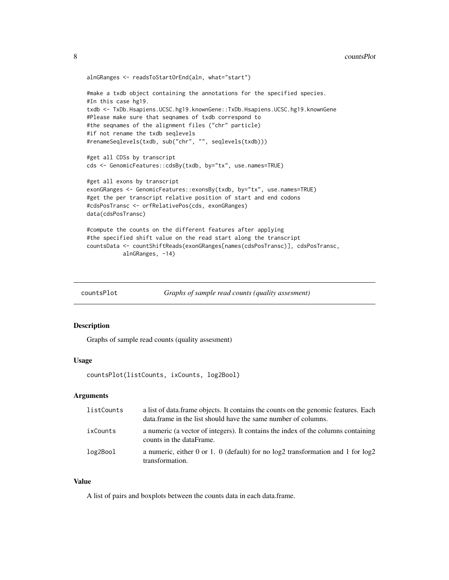```
alnGRanges <- readsToStartOrEnd(aln, what="start")
#make a txdb object containing the annotations for the specified species.
#In this case hg19.
txdb <- TxDb.Hsapiens.UCSC.hg19.knownGene::TxDb.Hsapiens.UCSC.hg19.knownGene
#Please make sure that seqnames of txdb correspond to
#the seqnames of the alignment files ("chr" particle)
#if not rename the txdb seqlevels
#renameSeqlevels(txdb, sub("chr", "", seqlevels(txdb)))
#get all CDSs by transcript
cds <- GenomicFeatures::cdsBy(txdb, by="tx", use.names=TRUE)
#get all exons by transcript
exonGRanges <- GenomicFeatures::exonsBy(txdb, by="tx", use.names=TRUE)
#get the per transcript relative position of start and end codons
#cdsPosTransc <- orfRelativePos(cds, exonGRanges)
data(cdsPosTransc)
#compute the counts on the different features after applying
#the specified shift value on the read start along the transcript
countsData <- countShiftReads(exonGRanges[names(cdsPosTransc)], cdsPosTransc,
          alnGRanges, -14)
```
countsPlot *Graphs of sample read counts (quality assesment)*

#### Description

Graphs of sample read counts (quality assesment)

#### Usage

countsPlot(listCounts, ixCounts, log2Bool)

#### Arguments

| listCounts | a list of data frame objects. It contains the counts on the genomic features. Each<br>data. frame in the list should have the same number of columns. |
|------------|-------------------------------------------------------------------------------------------------------------------------------------------------------|
| ixCounts   | a numeric (a vector of integers). It contains the index of the columns containing<br>counts in the dataFrame.                                         |
| log2Bool   | a numeric, either 0 or 1. 0 (default) for no $log2$ transformation and 1 for $log2$<br>transformation.                                                |

#### Value

A list of pairs and boxplots between the counts data in each data.frame.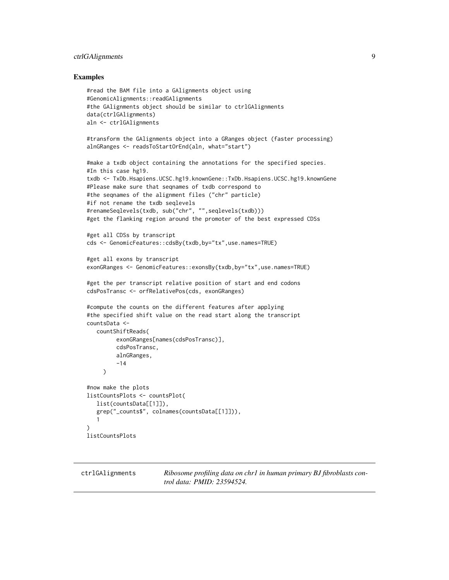#### <span id="page-8-0"></span>ctrlGAlignments 9

#### Examples

```
#read the BAM file into a GAlignments object using
#GenomicAlignments::readGAlignments
#the GAlignments object should be similar to ctrlGAlignments
data(ctrlGAlignments)
aln <- ctrlGAlignments
#transform the GAlignments object into a GRanges object (faster processing)
alnGRanges <- readsToStartOrEnd(aln, what="start")
#make a txdb object containing the annotations for the specified species.
#In this case hg19.
txdb <- TxDb.Hsapiens.UCSC.hg19.knownGene::TxDb.Hsapiens.UCSC.hg19.knownGene
#Please make sure that seqnames of txdb correspond to
#the seqnames of the alignment files ("chr" particle)
#if not rename the txdb seqlevels
#renameSeqlevels(txdb, sub("chr", "",seqlevels(txdb)))
#get the flanking region around the promoter of the best expressed CDSs
#get all CDSs by transcript
cds <- GenomicFeatures::cdsBy(txdb,by="tx",use.names=TRUE)
#get all exons by transcript
exonGRanges <- GenomicFeatures::exonsBy(txdb,by="tx",use.names=TRUE)
#get the per transcript relative position of start and end codons
cdsPosTransc <- orfRelativePos(cds, exonGRanges)
#compute the counts on the different features after applying
#the specified shift value on the read start along the transcript
countsData <-
   countShiftReads(
         exonGRanges[names(cdsPosTransc)],
         cdsPosTransc,
         alnGRanges,
         -14
     )
#now make the plots
listCountsPlots <- countsPlot(
   list(countsData[[1]]),
   grep("_counts$", colnames(countsData[[1]])),
   1
\lambdalistCountsPlots
```
ctrlGAlignments *Ribosome profiling data on chr1 in human primary BJ fibroblasts control data: PMID: 23594524.*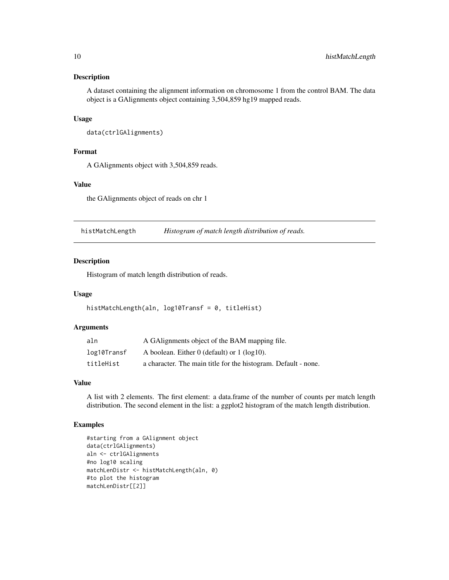<span id="page-9-0"></span>A dataset containing the alignment information on chromosome 1 from the control BAM. The data object is a GAlignments object containing 3,504,859 hg19 mapped reads.

#### Usage

```
data(ctrlGAlignments)
```
#### Format

A GAlignments object with 3,504,859 reads.

#### Value

the GAlignments object of reads on chr 1

histMatchLength *Histogram of match length distribution of reads.*

#### Description

Histogram of match length distribution of reads.

#### Usage

histMatchLength(aln, log10Transf = 0, titleHist)

#### Arguments

| aln         | A GAlignments object of the BAM mapping file.                  |
|-------------|----------------------------------------------------------------|
| log10Transf | A boolean. Either $0$ (default) or $1$ (log10).                |
| titleHist   | a character. The main title for the histogram. Default - none. |

#### Value

A list with 2 elements. The first element: a data.frame of the number of counts per match length distribution. The second element in the list: a ggplot2 histogram of the match length distribution.

```
#starting from a GAlignment object
data(ctrlGAlignments)
aln <- ctrlGAlignments
#no log10 scaling
matchLenDistr <- histMatchLength(aln, 0)
#to plot the histogram
matchLenDistr[[2]]
```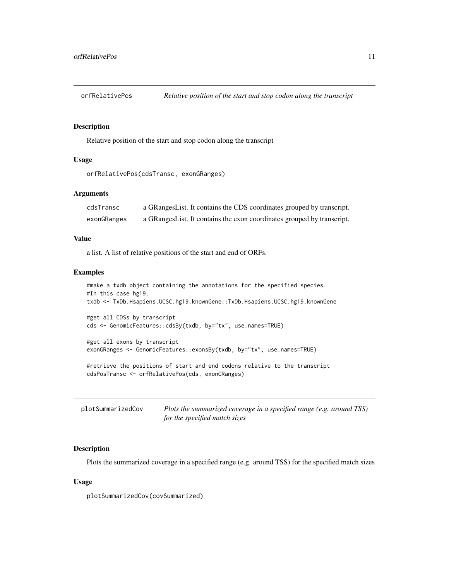<span id="page-10-0"></span>

Relative position of the start and stop codon along the transcript

#### Usage

```
orfRelativePos(cdsTransc, exonGRanges)
```
#### Arguments

| cdsTransc   | a GRangesList. It contains the CDS coordinates grouped by transcript.  |
|-------------|------------------------------------------------------------------------|
| exonGRanges | a GRangesList. It contains the exon coordinates grouped by transcript. |

#### Value

a list. A list of relative positions of the start and end of ORFs.

#### Examples

```
#make a txdb object containing the annotations for the specified species.
#In this case hg19.
txdb <- TxDb.Hsapiens.UCSC.hg19.knownGene::TxDb.Hsapiens.UCSC.hg19.knownGene
#get all CDSs by transcript
cds <- GenomicFeatures::cdsBy(txdb, by="tx", use.names=TRUE)
#get all exons by transcript
exonGRanges <- GenomicFeatures::exonsBy(txdb, by="tx", use.names=TRUE)
#retrieve the positions of start and end codons relative to the transcript
cdsPosTransc <- orfRelativePos(cds, exonGRanges)
```

| plotSummarizedCov | Plots the summarized coverage in a specified range (e.g. around TSS) |
|-------------------|----------------------------------------------------------------------|
|                   | for the specified match sizes                                        |

#### Description

Plots the summarized coverage in a specified range (e.g. around TSS) for the specified match sizes

#### Usage

plotSummarizedCov(covSummarized)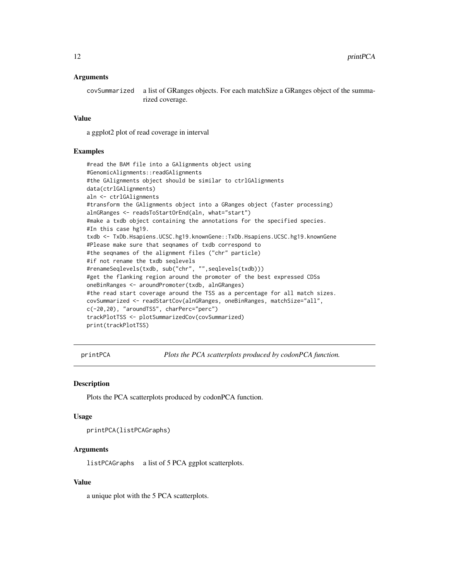#### <span id="page-11-0"></span>Arguments

covSummarized a list of GRanges objects. For each matchSize a GRanges object of the summarized coverage.

#### Value

a ggplot2 plot of read coverage in interval

#### Examples

```
#read the BAM file into a GAlignments object using
#GenomicAlignments::readGAlignments
#the GAlignments object should be similar to ctrlGAlignments
data(ctrlGAlignments)
aln <- ctrlGAlignments
#transform the GAlignments object into a GRanges object (faster processing)
alnGRanges <- readsToStartOrEnd(aln, what="start")
#make a txdb object containing the annotations for the specified species.
#In this case hg19.
txdb <- TxDb.Hsapiens.UCSC.hg19.knownGene::TxDb.Hsapiens.UCSC.hg19.knownGene
#Please make sure that seqnames of txdb correspond to
#the seqnames of the alignment files ("chr" particle)
#if not rename the txdb seqlevels
#renameSeqlevels(txdb, sub("chr", "",seqlevels(txdb)))
#get the flanking region around the promoter of the best expressed CDSs
oneBinRanges <- aroundPromoter(txdb, alnGRanges)
#the read start coverage around the TSS as a percentage for all match sizes.
covSummarized <- readStartCov(alnGRanges, oneBinRanges, matchSize="all",
c(-20,20), "aroundTSS", charPerc="perc")
trackPlotTSS <- plotSummarizedCov(covSummarized)
print(trackPlotTSS)
```
printPCA *Plots the PCA scatterplots produced by codonPCA function.*

#### **Description**

Plots the PCA scatterplots produced by codonPCA function.

#### Usage

printPCA(listPCAGraphs)

#### Arguments

listPCAGraphs a list of 5 PCA ggplot scatterplots.

#### Value

a unique plot with the 5 PCA scatterplots.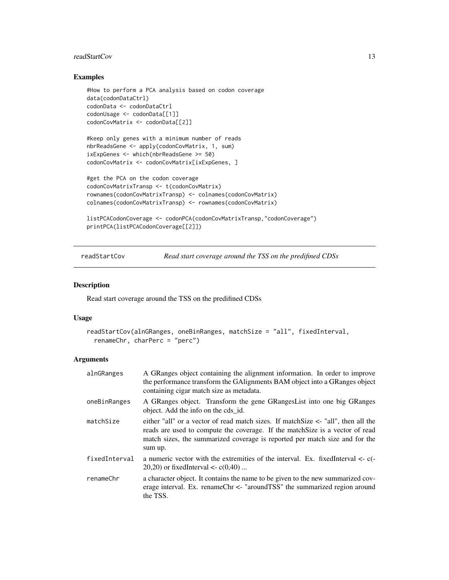#### <span id="page-12-0"></span>readStartCov 13

#### Examples

```
#How to perform a PCA analysis based on codon coverage
data(codonDataCtrl)
codonData <- codonDataCtrl
codonUsage <- codonData[[1]]
codonCovMatrix <- codonData[[2]]
#keep only genes with a minimum number of reads
nbrReadsGene <- apply(codonCovMatrix, 1, sum)
ixExpGenes <- which(nbrReadsGene >= 50)
codonCovMatrix <- codonCovMatrix[ixExpGenes, ]
#get the PCA on the codon coverage
codonCovMatrixTransp <- t(codonCovMatrix)
rownames(codonCovMatrixTransp) <- colnames(codonCovMatrix)
colnames(codonCovMatrixTransp) <- rownames(codonCovMatrix)
listPCACodonCoverage <- codonPCA(codonCovMatrixTransp,"codonCoverage")
```

```
printPCA(listPCACodonCoverage[[2]])
```
readStartCov *Read start coverage around the TSS on the predifined CDSs*

#### Description

Read start coverage around the TSS on the predifined CDSs

#### Usage

```
readStartCov(alnGRanges, oneBinRanges, matchSize = "all", fixedInterval,
  renameChr, charPerc = "perc")
```
#### Arguments

| alnGRanges    | A GRanges object containing the alignment information. In order to improve<br>the performance transform the GAlignments BAM object into a GRanges object<br>containing cigar match size as metadata.                                                              |
|---------------|-------------------------------------------------------------------------------------------------------------------------------------------------------------------------------------------------------------------------------------------------------------------|
| oneBinRanges  | A GRanges object. Transform the gene GRanges List into one big GRanges<br>object. Add the info on the cds id.                                                                                                                                                     |
| matchSize     | either "all" or a vector of read match sizes. If match Size $\leq$ "all", then all the<br>reads are used to compute the coverage. If the match Size is a vector of read<br>match sizes, the summarized coverage is reported per match size and for the<br>sum up. |
| fixedInterval | a numeric vector with the extremities of the interval. Ex. fixedInterval $\lt$ - $c$ (-<br>20,20) or fixed Interval $\lt$ - c(0,40)                                                                                                                               |
| renameChr     | a character object. It contains the name to be given to the new summarized cov-<br>erage interval. Ex. renameChr <- "aroundTSS" the summarized region around<br>the TSS.                                                                                          |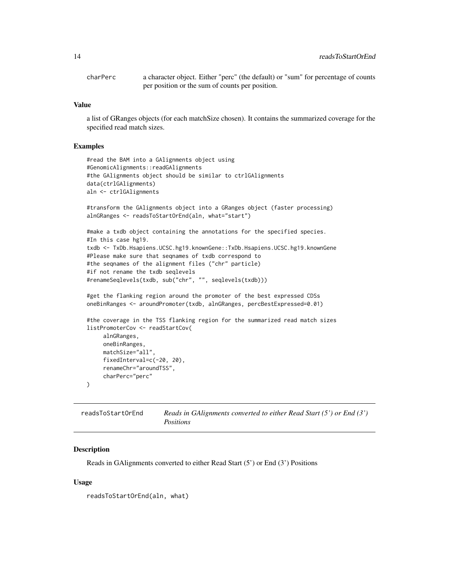<span id="page-13-0"></span>charPerc a character object. Either "perc" (the default) or "sum" for percentage of counts per position or the sum of counts per position.

#### Value

a list of GRanges objects (for each matchSize chosen). It contains the summarized coverage for the specified read match sizes.

#### Examples

```
#read the BAM into a GAlignments object using
#GenomicAlignments::readGAlignments
#the GAlignments object should be similar to ctrlGAlignments
data(ctrlGAlignments)
aln <- ctrlGAlignments
#transform the GAlignments object into a GRanges object (faster processing)
alnGRanges <- readsToStartOrEnd(aln, what="start")
#make a txdb object containing the annotations for the specified species.
#In this case hg19.
txdb <- TxDb.Hsapiens.UCSC.hg19.knownGene::TxDb.Hsapiens.UCSC.hg19.knownGene
#Please make sure that seqnames of txdb correspond to
#the seqnames of the alignment files ("chr" particle)
#if not rename the txdb seqlevels
#renameSeqlevels(txdb, sub("chr", "", seqlevels(txdb)))
#get the flanking region around the promoter of the best expressed CDSs
oneBinRanges <- aroundPromoter(txdb, alnGRanges, percBestExpressed=0.01)
#the coverage in the TSS flanking region for the summarized read match sizes
listPromoterCov <- readStartCov(
     alnGRanges,
     oneBinRanges,
     matchSize="all",
     fixedInterval=c(-20, 20),
     renameChr="aroundTSS",
     charPerc="perc"
)
```
readsToStartOrEnd *Reads in GAlignments converted to either Read Start (5') or End (3') Positions*

#### Description

Reads in GAlignments converted to either Read Start (5') or End (3') Positions

#### Usage

readsToStartOrEnd(aln, what)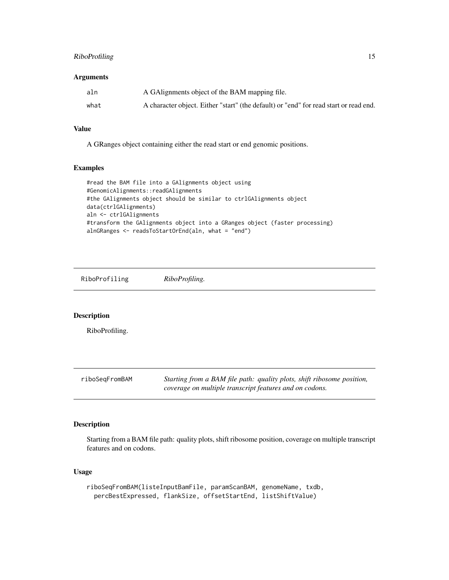#### <span id="page-14-0"></span>RiboProfiling 15

#### Arguments

| aln  | A GAIignments object of the BAM mapping file.                                         |
|------|---------------------------------------------------------------------------------------|
| what | A character object. Either "start" (the default) or "end" for read start or read end. |

#### Value

A GRanges object containing either the read start or end genomic positions.

#### Examples

```
#read the BAM file into a GAlignments object using
#GenomicAlignments::readGAlignments
#the GAlignments object should be similar to ctrlGAlignments object
data(ctrlGAlignments)
aln <- ctrlGAlignments
#transform the GAlignments object into a GRanges object (faster processing)
alnGRanges <- readsToStartOrEnd(aln, what = "end")
```
RiboProfiling *RiboProfiling.*

#### Description

RiboProfiling.

| riboSeqFromBAM | Starting from a BAM file path: quality plots, shift ribosome position, |
|----------------|------------------------------------------------------------------------|
|                | coverage on multiple transcript features and on codons.                |

#### Description

Starting from a BAM file path: quality plots, shift ribosome position, coverage on multiple transcript features and on codons.

#### Usage

```
riboSeqFromBAM(listeInputBamFile, paramScanBAM, genomeName, txdb,
 percBestExpressed, flankSize, offsetStartEnd, listShiftValue)
```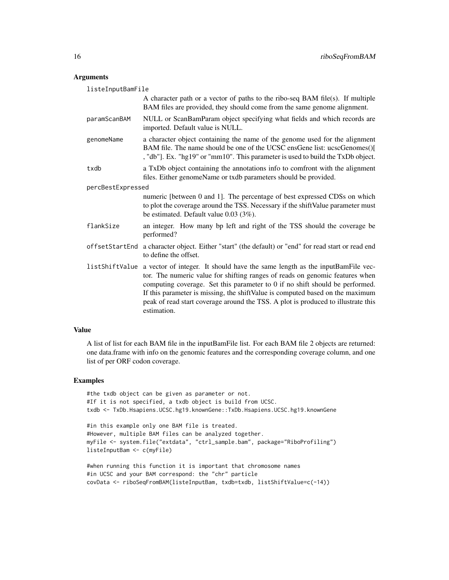#### Arguments

| listeInputBamFile |                                                                                                                                                                                                                                                                                                                                                                                                                                    |  |
|-------------------|------------------------------------------------------------------------------------------------------------------------------------------------------------------------------------------------------------------------------------------------------------------------------------------------------------------------------------------------------------------------------------------------------------------------------------|--|
|                   | A character path or a vector of paths to the ribo-seq BAM file(s). If multiple<br>BAM files are provided, they should come from the same genome alignment.                                                                                                                                                                                                                                                                         |  |
| paramScanBAM      | NULL or ScanBamParam object specifying what fields and which records are<br>imported. Default value is NULL.                                                                                                                                                                                                                                                                                                                       |  |
| genomeName        | a character object containing the name of the genome used for the alignment<br>BAM file. The name should be one of the UCSC ensGene list: ucscGenomes()[<br>, "db"]. Ex. "hg19" or "mm10". This parameter is used to build the TxDb object.                                                                                                                                                                                        |  |
| txdb              | a TxDb object containing the annotations info to comfront with the alignment<br>files. Either genomeName or txdb parameters should be provided.                                                                                                                                                                                                                                                                                    |  |
| percBestExpressed |                                                                                                                                                                                                                                                                                                                                                                                                                                    |  |
|                   | numeric [between 0 and 1]. The percentage of best expressed CDSs on which<br>to plot the coverage around the TSS. Necessary if the shift Value parameter must<br>be estimated. Default value $0.03$ (3%).                                                                                                                                                                                                                          |  |
| flankSize         | an integer. How many bp left and right of the TSS should the coverage be<br>performed?                                                                                                                                                                                                                                                                                                                                             |  |
| offsetStartEnd    | a character object. Either "start" (the default) or "end" for read start or read end<br>to define the offset.                                                                                                                                                                                                                                                                                                                      |  |
| listShiftValue    | a vector of integer. It should have the same length as the inputBamFile vec-<br>tor. The numeric value for shifting ranges of reads on genomic features when<br>computing coverage. Set this parameter to 0 if no shift should be performed.<br>If this parameter is missing, the shift Value is computed based on the maximum<br>peak of read start coverage around the TSS. A plot is produced to illustrate this<br>estimation. |  |

#### Value

A list of list for each BAM file in the inputBamFile list. For each BAM file 2 objects are returned: one data.frame with info on the genomic features and the corresponding coverage column, and one list of per ORF codon coverage.

```
#the txdb object can be given as parameter or not.
#If it is not specified, a txdb object is build from UCSC.
txdb <- TxDb.Hsapiens.UCSC.hg19.knownGene::TxDb.Hsapiens.UCSC.hg19.knownGene
```

```
#in this example only one BAM file is treated.
#However, multiple BAM files can be analyzed together.
myFile <- system.file("extdata", "ctrl_sample.bam", package="RiboProfiling")
listeInputBam <- c(myFile)
```

```
#when running this function it is important that chromosome names
#in UCSC and your BAM correspond: the "chr" particle
covData <- riboSeqFromBAM(listeInputBam, txdb=txdb, listShiftValue=c(-14))
```